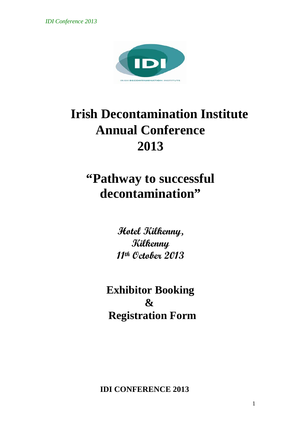*IDI Conference 2013*



# **Irish Decontamination Institute Annual Conference 2013**

## **"Pathway to successful decontamination"**

**Hotel Kilkenny, Kilkenny 11th October 2013**

**Exhibitor Booking & Registration Form**

**IDI CONFERENCE 2013**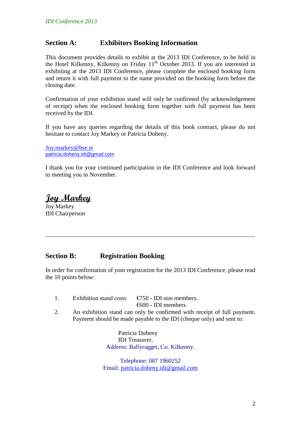#### **Section A: Exhibitors Booking Information**

This document provides details to exhibit at the 2013 IDI Conference, to be held in the Hotel Kilkenny, Kilkenny on Friday  $11<sup>th</sup>$  October 2013. If you are interested in exhibiting at the 2013 IDI Conference, please complete the enclosed booking form and return it with full payment to the name provided on the booking form before the closing date.

Confirmation of your exhibition stand will only be confirmed (by acknowledgement of receipt) when the enclosed booking form together with full payment has been received by the IDI.

If you have any queries regarding the details of this book contract, please do not hesitate to contact Joy Markey or Patricia Doheny.

[Joy.markey@hse.ie](mailto:Joy.markey@hse.ie) [patricia.doheny.idi@gmail.com](mailto:patricia.doheny.idi@gmail.com)

I thank you for your continued participation in the IDI Conference and look forward to meeting you in November.

**Joy Markey**

Joy Markey IDI Chairperson

#### **Section B: Registration Booking**

In order for confirmation of your registration for the 2013 IDI Conference, please read the 10 points below:

\_\_\_\_\_\_\_\_\_\_\_\_\_\_\_\_\_\_\_\_\_\_\_\_\_\_\_\_\_\_\_\_\_\_\_\_\_\_\_\_\_\_\_\_\_\_\_\_\_\_\_\_\_\_\_\_\_\_\_\_\_\_\_\_\_\_\_\_\_

- 1. Exhibition stand costs  $\epsilon$   $\epsilon$  =  $\epsilon$  =  $\epsilon$  =  $\epsilon$  =  $\epsilon$  =  $\epsilon$  =  $\epsilon$  =  $\epsilon$  =  $\epsilon$  =  $\epsilon$  =  $\epsilon$  =  $\epsilon$  =  $\epsilon$  =  $\epsilon$  =  $\epsilon$  =  $\epsilon$  =  $\epsilon$  =  $\epsilon$  =  $\epsilon$  =  $\epsilon$  =  $\epsilon$  =  $\epsilon$  =  $\epsilon$  =  $\epsilon$  =  $\epsilon$  =  $\epsilon$  =  $\epsilon$  = €600 - IDI members
- 2. An exhibition stand can only be confirmed with receipt of full payment. Payment should be made payable to the IDI (cheque only) and sent to:

Patricia Doheny IDI Treasurer, Address: Ballyragget, Co. Kilkenny.

Telephone: 087 1960252 Email: [patricia.doheny.idi@gmail.com](mailto:patricia.doheny.idi@gmail.com)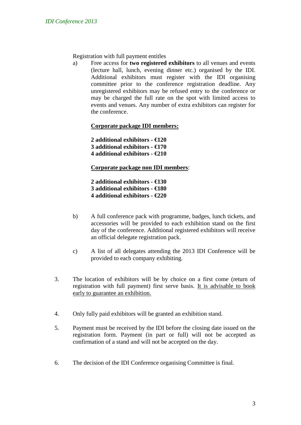Registration with full payment entitles

a) Free access for **two registered exhibitors** to all venues and events (lecture hall, lunch, evening dinner etc.) organised by the IDI. Additional exhibitors must register with the IDI organising committee prior to the conference registration deadline. Any unregistered exhibitors may be refused entry to the conference or may be charged the full rate on the spot with limited access to events and venues. Any number of extra exhibitors can register for the conference.

**Corporate package IDI members:**

**2 additional exhibitors - €120 3 additional exhibitors - €170 4 additional exhibitors - €210**

**Corporate package non IDI members**:

**2 additional exhibitors - €130 3 additional exhibitors - €180 4 additional exhibitors - €220**

- b) A full conference pack with programme, badges, lunch tickets, and accessories will be provided to each exhibition stand on the first day of the conference. Additional registered exhibitors will receive an official delegate registration pack.
- c) A list of all delegates attending the 2013 IDI Conference will be provided to each company exhibiting.
- 3. The location of exhibitors will be by choice on a first come (return of registration with full payment) first serve basis. It is advisable to book early to guarantee an exhibition.
- 4. Only fully paid exhibitors will be granted an exhibition stand.
- 5. Payment must be received by the IDI before the closing date issued on the registration form. Payment (in part or full) will not be accepted as confirmation of a stand and will not be accepted on the day.
- 6. The decision of the IDI Conference organising Committee is final.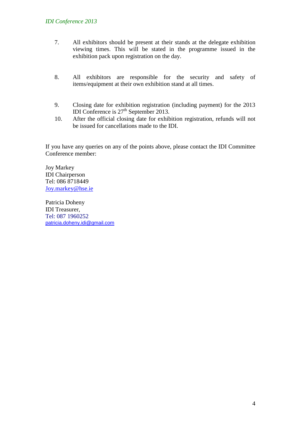#### *IDI Conference 2013*

- 7. All exhibitors should be present at their stands at the delegate exhibition viewing times. This will be stated in the programme issued in the exhibition pack upon registration on the day.
- 8. All exhibitors are responsible for the security and safety of items/equipment at their own exhibition stand at all times.
- 9. Closing date for exhibition registration (including payment) for the 2013 IDI Conference is 27<sup>th</sup> September 2013.
- 10. After the official closing date for exhibition registration, refunds will not be issued for cancellations made to the IDI.

If you have any queries on any of the points above, please contact the IDI Committee Conference member:

Joy Markey IDI Chairperson Tel: 086 8718449 [Joy.markey@hse.ie](mailto:Joy.markey@hse.ie)

Patricia Doheny IDI Treasurer, Tel: 087 1960252 [patricia.doheny.idi@gmail.com](mailto:patricia.doheny.idi@gmail.com)